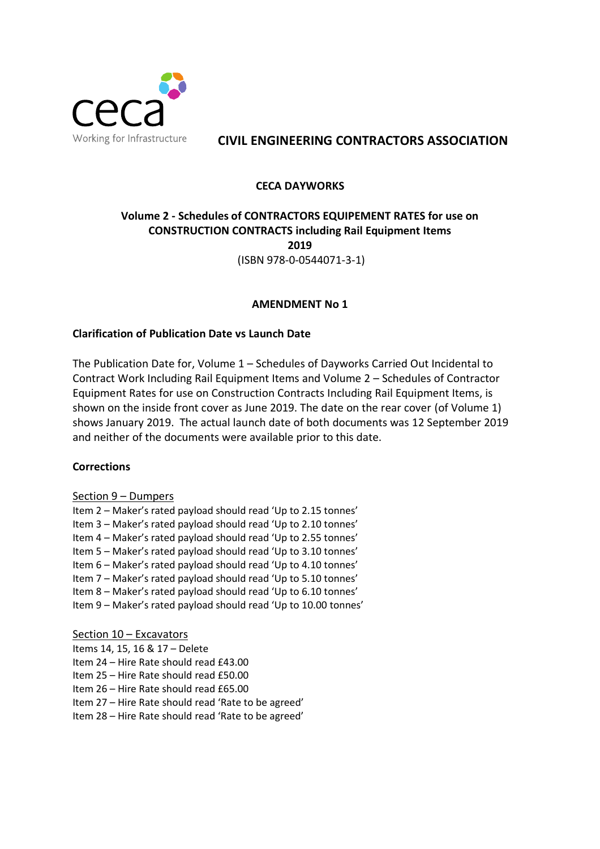

# **CIVIL ENGINEERING CONTRACTORS ASSOCIATION**

# **CECA DAYWORKS**

# **Volume 2 - Schedules of CONTRACTORS EQUIPEMENT RATES for use on CONSTRUCTION CONTRACTS including Rail Equipment Items 2019** (ISBN 978-0-0544071-3-1)

# **AMENDMENT No 1**

# **Clarification of Publication Date vs Launch Date**

The Publication Date for, Volume 1 – Schedules of Dayworks Carried Out Incidental to Contract Work Including Rail Equipment Items and Volume 2 – Schedules of Contractor Equipment Rates for use on Construction Contracts Including Rail Equipment Items, is shown on the inside front cover as June 2019. The date on the rear cover (of Volume 1) shows January 2019. The actual launch date of both documents was 12 September 2019 and neither of the documents were available prior to this date.

## **Corrections**

## Section 9 – Dumpers

Item 2 – Maker's rated payload should read 'Up to 2.15 tonnes' Item 3 – Maker's rated payload should read 'Up to 2.10 tonnes' Item 4 – Maker's rated payload should read 'Up to 2.55 tonnes' Item 5 – Maker's rated payload should read 'Up to 3.10 tonnes' Item 6 – Maker's rated payload should read 'Up to 4.10 tonnes' Item 7 – Maker's rated payload should read 'Up to 5.10 tonnes' Item 8 – Maker's rated payload should read 'Up to 6.10 tonnes' Item 9 – Maker's rated payload should read 'Up to 10.00 tonnes'

Section 10 – Excavators Items 14, 15, 16 & 17 – Delete Item 24 – Hire Rate should read £43.00 Item 25 – Hire Rate should read £50.00 Item 26 – Hire Rate should read £65.00 Item 27 – Hire Rate should read 'Rate to be agreed' Item 28 – Hire Rate should read 'Rate to be agreed'